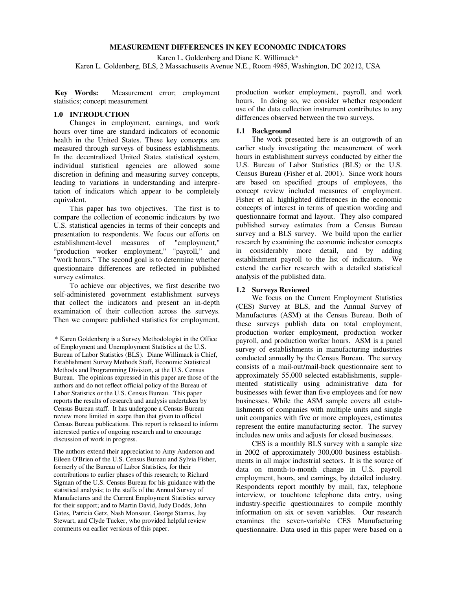### **MEASUREMENT DIFFERENCES IN KEY ECONOMIC INDICATORS**

Karen L. Goldenberg and Diane K. Willimack\*

Karen L. Goldenberg, BLS, 2 Massachusetts Avenue N.E., Room 4985, Washington, DC 20212, USA

Kev Words: Measurement error; employment statistics; concept measurement

## **1.0 INTRODUCTION**

1

 Changes in employment, earnings, and work hours over time are standard indicators of economic health in the United States. These key concepts are measured through surveys of business establishments. In the decentralized United States statistical system, individual statistical agencies are allowed some discretion in defining and measuring survey concepts, leading to variations in understanding and interpretation of indicators which appear to be completely equivalent.

 This paper has two objectives. The first is to compare the collection of economic indicators by two U.S. statistical agencies in terms of their concepts and presentation to respondents. We focus our efforts on establishment-level measures of "employment," "production worker employment," "payroll," and "work hours." The second goal is to determine whether questionnaire differences are reflected in published survey estimates.

 To achieve our objectives, we first describe two self-administered government establishment surveys that collect the indicators and present an in-depth examination of their collection across the surveys. Then we compare published statistics for employment,

The authors extend their appreciation to Amy Anderson and Eileen O'Brien of the U.S. Census Bureau and Sylvia Fisher, formerly of the Bureau of Labor Statistics, for their contributions to earlier phases of this research; to Richard Sigman of the U.S. Census Bureau for his guidance with the statistical analysis; to the staffs of the Annual Survey of Manufactures and the Current Employment Statistics survey for their support; and to Martin David, Judy Dodds, John Gates, Patricia Getz, Nash Monsour, George Stamas, Jay Stewart, and Clyde Tucker, who provided helpful review comments on earlier versions of this paper.

production worker employment, payroll, and work hours. In doing so, we consider whether respondent use of the data collection instrument contributes to any differences observed between the two surveys.

#### **1.1 Background**

 The work presented here is an outgrowth of an earlier study investigating the measurement of work hours in establishment surveys conducted by either the U.S. Bureau of Labor Statistics (BLS) or the U.S. Census Bureau (Fisher et al. 2001). Since work hours are based on specified groups of employees, the concept review included measures of employment. Fisher et al. highlighted differences in the economic concepts of interest in terms of question wording and questionnaire format and layout. They also compared published survey estimates from a Census Bureau survey and a BLS survey. We build upon the earlier research by examining the economic indicator concepts in considerably more detail, and by adding establishment payroll to the list of indicators. We extend the earlier research with a detailed statistical analysis of the published data.

#### **1.2 Surveys Reviewed**

 We focus on the Current Employment Statistics (CES) Survey at BLS, and the Annual Survey of Manufactures (ASM) at the Census Bureau. Both of these surveys publish data on total employment, production worker employment, production worker payroll, and production worker hours. ASM is a panel survey of establishments in manufacturing industries conducted annually by the Census Bureau. The survey consists of a mail-out/mail-back questionnaire sent to approximately 55,000 selected establishments, supplemented statistically using administrative data for businesses with fewer than five employees and for new businesses. While the ASM sample covers all establishments of companies with multiple units and single unit companies with five or more employees, estimates represent the entire manufacturing sector. The survey includes new units and adjusts for closed businesses.

 CES is a monthly BLS survey with a sample size in 2002 of approximately 300,000 business establishments in all major industrial sectors. It is the source of data on month-to-month change in U.S. payroll employment, hours, and earnings, by detailed industry. Respondents report monthly by mail, fax, telephone interview, or touchtone telephone data entry, using industry-specific questionnaires to compile monthly information on six or seven variables. Our research examines the seven-variable CES Manufacturing questionnaire. Data used in this paper were based on a

<sup>\*</sup> Karen Goldenberg is a Survey Methodologist in the Office of Employment and Unemployment Statistics at the U.S. Bureau of Labor Statistics (BLS). Diane Willimack is Chief, Establishment Survey Methods Staff**,** Economic Statistical Methods and Programming Division, at the U.S. Census Bureau. The opinions expressed in this paper are those of the authors and do not reflect official policy of the Bureau of Labor Statistics or the U.S. Census Bureau. This paper reports the results of research and analysis undertaken by Census Bureau staff. It has undergone a Census Bureau review more limited in scope than that given to official Census Bureau publications. This report is released to inform interested parties of ongoing research and to encourage discussion of work in progress.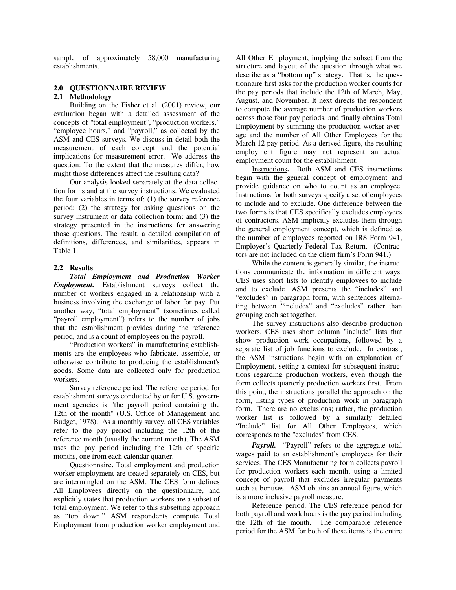sample of approximately 58,000 manufacturing establishments.

### **2.0 QUESTIONNAIRE REVIEW**

#### **2.1 Methodology**

 Building on the Fisher et al. (2001) review, our evaluation began with a detailed assessment of the concepts of "total employment", "production workers," "employee hours," and "payroll," as collected by the ASM and CES surveys. We discuss in detail both the measurement of each concept and the potential implications for measurement error. We address the question: To the extent that the measures differ, how might those differences affect the resulting data?

 Our analysis looked separately at the data collection forms and at the survey instructions. We evaluated the four variables in terms of: (1) the survey reference period; (2) the strategy for asking questions on the survey instrument or data collection form; and (3) the strategy presented in the instructions for answering those questions. The result, a detailed compilation of definitions, differences, and similarities, appears in Table 1.

#### **2.2 Results**

*Total Employment and Production Worker Employment.* Establishment surveys collect the number of workers engaged in a relationship with a business involving the exchange of labor for pay. Put another way, "total employment" (sometimes called "payroll employment") refers to the number of jobs that the establishment provides during the reference period, and is a count of employees on the payroll.

 "Production workers" in manufacturing establishments are the employees who fabricate, assemble, or otherwise contribute to producing the establishment's goods. Some data are collected only for production workers.

 Survey reference period. The reference period for establishment surveys conducted by or for U.S. government agencies is "the payroll period containing the 12th of the month" (U.S. Office of Management and Budget, 1978). As a monthly survey, all CES variables refer to the pay period including the 12th of the reference month (usually the current month). The ASM uses the pay period including the 12th of specific months, one from each calendar quarter.

 Questionnaire**.** Total employment and production worker employment are treated separately on CES, but are intermingled on the ASM. The CES form defines All Employees directly on the questionnaire, and explicitly states that production workers are a subset of total employment. We refer to this subsetting approach as "top down." ASM respondents compute Total Employment from production worker employment and

All Other Employment, implying the subset from the structure and layout of the question through what we describe as a "bottom up" strategy. That is, the questionnaire first asks for the production worker counts for the pay periods that include the 12th of March, May, August, and November. It next directs the respondent to compute the average number of production workers across those four pay periods, and finally obtains Total Employment by summing the production worker average and the number of All Other Employees for the March 12 pay period. As a derived figure, the resulting employment figure may not represent an actual employment count for the establishment.

 Instructions**.** Both ASM and CES instructions begin with the general concept of employment and provide guidance on who to count as an employee. Instructions for both surveys specify a set of employees to include and to exclude. One difference between the two forms is that CES specifically excludes employees of contractors. ASM implicitly excludes them through the general employment concept, which is defined as the number of employees reported on IRS Form 941, Employer's Quarterly Federal Tax Return. (Contractors are not included on the client firm's Form 941.)

 While the content is generally similar, the instructions communicate the information in different ways. CES uses short lists to identify employees to include and to exclude. ASM presents the "includes" and "excludes" in paragraph form, with sentences alternating between "includes" and "excludes" rather than grouping each set together.

 The survey instructions also describe production workers. CES uses short column "include" lists that show production work occupations, followed by a separate list of job functions to exclude. In contrast, the ASM instructions begin with an explanation of Employment, setting a context for subsequent instructions regarding production workers, even though the form collects quarterly production workers first. From this point, the instructions parallel the approach on the form, listing types of production work in paragraph form. There are no exclusions; rather, the production worker list is followed by a similarly detailed "Include" list for All Other Employees, which corresponds to the "excludes" from CES.

Payroll. "Payroll" refers to the aggregate total wages paid to an establishment's employees for their services. The CES Manufacturing form collects payroll for production workers each month, using a limited concept of payroll that excludes irregular payments such as bonuses. ASM obtains an annual figure, which is a more inclusive payroll measure.

 Reference period. The CES reference period for both payroll and work hours is the pay period including the 12th of the month. The comparable reference period for the ASM for both of these items is the entire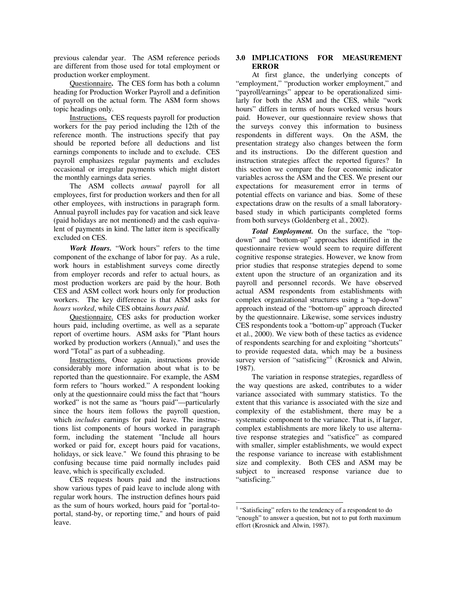previous calendar year. The ASM reference periods are different from those used for total employment or production worker employment.

 Questionnaire**.** The CES form has both a column heading for Production Worker Payroll and a definition of payroll on the actual form. The ASM form shows topic headings only.

Instructions**.** CES requests payroll for production workers for the pay period including the 12th of the reference month. The instructions specify that pay should be reported before all deductions and list earnings components to include and to exclude. CES payroll emphasizes regular payments and excludes occasional or irregular payments which might distort the monthly earnings data series.

 The ASM collects *annual* payroll for all employees, first for production workers and then for all other employees, with instructions in paragraph form. Annual payroll includes pay for vacation and sick leave (paid holidays are not mentioned) and the cash equivalent of payments in kind. The latter item is specifically excluded on CES.

*Work Hours.* "Work hours" refers to the time component of the exchange of labor for pay. As a rule, work hours in establishment surveys come directly from employer records and refer to actual hours, as most production workers are paid by the hour. Both CES and ASM collect work hours only for production workers. The key difference is that ASM asks for *hours worked*, while CES obtains *hours paid*.

 Questionnaire. CES asks for production worker hours paid, including overtime, as well as a separate report of overtime hours. ASM asks for "Plant hours worked by production workers (Annual)," and uses the word "Total" as part of a subheading.

 Instructions. Once again, instructions provide considerably more information about what is to be reported than the questionnaire. For example, the ASM form refers to "hours worked." A respondent looking only at the questionnaire could miss the fact that "hours worked" is not the same as "hours paid"—particularly since the hours item follows the payroll question, which *includes* earnings for paid leave. The instructions list components of hours worked in paragraph form, including the statement "Include all hours worked or paid for, except hours paid for vacations, holidays, or sick leave." We found this phrasing to be confusing because time paid normally includes paid leave, which is specifically excluded.

 CES requests hours paid and the instructions show various types of paid leave to include along with regular work hours. The instruction defines hours paid as the sum of hours worked, hours paid for "portal-toportal, stand-by, or reporting time," and hours of paid leave.

# **3.0 IMPLICATIONS FOR MEASUREMENT ERROR**

 At first glance, the underlying concepts of "employment," "production worker employment," and "payroll/earnings" appear to be operationalized similarly for both the ASM and the CES, while "work hours" differs in terms of hours worked versus hours paid. However, our questionnaire review shows that the surveys convey this information to business respondents in different ways. On the ASM, the presentation strategy also changes between the form and its instructions. Do the different question and instruction strategies affect the reported figures? In this section we compare the four economic indicator variables across the ASM and the CES. We present our expectations for measurement error in terms of potential effects on variance and bias. Some of these expectations draw on the results of a small laboratorybased study in which participants completed forms from both surveys (Goldenberg et al., 2002).

*Total Employment.* On the surface, the "topdown" and "bottom-up" approaches identified in the questionnaire review would seem to require different cognitive response strategies. However, we know from prior studies that response strategies depend to some extent upon the structure of an organization and its payroll and personnel records. We have observed actual ASM respondents from establishments with complex organizational structures using a "top-down" approach instead of the "bottom-up" approach directed by the questionnaire. Likewise, some services industry CES respondents took a "bottom-up" approach (Tucker et al., 2000). We view both of these tactics as evidence of respondents searching for and exploiting "shortcuts" to provide requested data, which may be a business survey version of "satisficing"<sup>1</sup> (Krosnick and Alwin, 1987).

 The variation in response strategies, regardless of the way questions are asked, contributes to a wider variance associated with summary statistics. To the extent that this variance is associated with the size and complexity of the establishment, there may be a systematic component to the variance. That is, if larger, complex establishments are more likely to use alternative response strategies and "satisfice" as compared with smaller, simpler establishments, we would expect the response variance to increase with establishment size and complexity. Both CES and ASM may be subject to increased response variance due to "satisficing."

 $\overline{a}$ <sup>1</sup> "Satisficing" refers to the tendency of a respondent to do "enough" to answer a question, but not to put forth maximum effort (Krosnick and Alwin, 1987).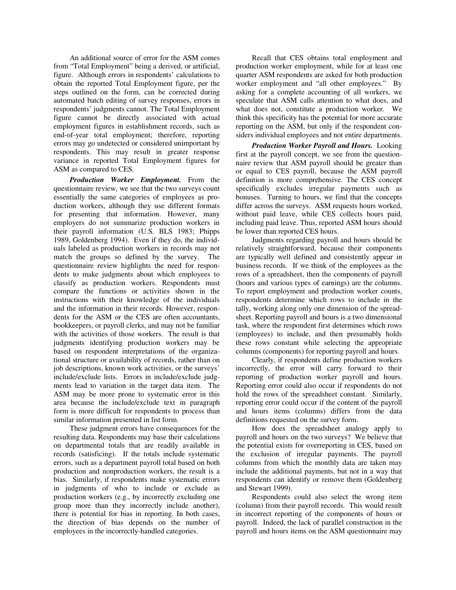An additional source of error for the ASM comes from "Total Employment" being a derived, or artificial, figure. Although errors in respondents' calculations to obtain the reported Total Employment figure, per the steps outlined on the form, can be corrected during automated batch editing of survey responses, errors in respondents' judgments cannot. The Total Employment figure cannot be directly associated with actual employment figures in establishment records, such as end-of-year total employment; therefore, reporting errors may go undetected or considered unimportant by respondents. This may result in greater response variance in reported Total Employment figures for ASM as compared to CES.

*Production Worker Employment.* From the questionnaire review, we see that the two surveys count essentially the same categories of employees as production workers, although they use different formats for presenting that information. However, many employers do not summarize production workers in their payroll information (U.S. BLS 1983; Phipps 1989, Goldenberg 1994). Even if they do, the individuals labeled as production workers in records may not match the groups so defined by the survey. The questionnaire review highlights the need for respondents to make judgments about which employees to classify as production workers. Respondents must compare the functions or activities shown in the instructions with their knowledge of the individuals and the information in their records. However, respondents for the ASM or the CES are often accountants, bookkeepers, or payroll clerks, and may not be familiar with the activities of those workers. The result is that judgments identifying production workers may be based on respondent interpretations of the organizational structure or availability of records, rather than on job descriptions, known work activities, or the surveys' include/exclude lists. Errors in include/exclude judgments lead to variation in the target data item. The ASM may be more prone to systematic error in this area because the include/exclude text in paragraph form is more difficult for respondents to process than similar information presented in list form.

 These judgment errors have consequences for the resulting data. Respondents may base their calculations on departmental totals that are readily available in records (satisficing). If the totals include systematic errors, such as a department payroll total based on both production and nonproduction workers, the result is a bias. Similarly, if respondents make systematic errors in judgments of who to include or exclude as production workers (e.g., by incorrectly excluding one group more than they incorrectly include another), there is potential for bias in reporting. In both cases, the direction of bias depends on the number of employees in the incorrectly-handled categories.

 Recall that CES obtains total employment and production worker employment, while for at least one quarter ASM respondents are asked for both production worker employment and "all other employees." By asking for a complete accounting of all workers, we speculate that ASM calls attention to what does, and what does not, constitute a production worker. We think this specificity has the potential for more accurate reporting on the ASM, but only if the respondent considers individual employees and not entire departments.

*Production Worker Payroll and Hours.* Looking first at the payroll concept, we see from the questionnaire review that ASM payroll should be greater than or equal to CES payroll, because the ASM payroll definition is more comprehensive. The CES concept specifically excludes irregular payments such as bonuses. Turning to hours, we find that the concepts differ across the surveys. ASM requests hours worked, without paid leave, while CES collects hours paid, including paid leave. Thus, reported ASM hours should be lower than reported CES hours.

 Judgments regarding payroll and hours should be relatively straightforward, because their components are typically well defined and consistently appear in business records. If we think of the employees as the rows of a spreadsheet, then the components of payroll (hours and various types of earnings) are the columns. To report employment and production worker counts, respondents determine which rows to include in the tally, working along only one dimension of the spreadsheet. Reporting payroll and hours is a two dimensional task, where the respondent first determines which rows (employees) to include, and then presumably holds these rows constant while selecting the appropriate columns (components) for reporting payroll and hours.

 Clearly, if respondents define production workers incorrectly, the error will carry forward to their reporting of production worker payroll and hours. Reporting error could also occur if respondents do not hold the rows of the spreadsheet constant. Similarly, reporting error could occur if the content of the payroll and hours items (columns) differs from the data definitions requested on the survey form.

 How does the spreadsheet analogy apply to payroll and hours on the two surveys? We believe that the potential exists for overreporting in CES, based on the exclusion of irregular payments. The payroll columns from which the monthly data are taken may include the additional payments, but not in a way that respondents can identify or remove them (Goldenberg and Stewart 1999).

 Respondents could also select the wrong item (column) from their payroll records. This would result in incorrect reporting of the components of hours or payroll. Indeed, the lack of parallel construction in the payroll and hours items on the ASM questionnaire may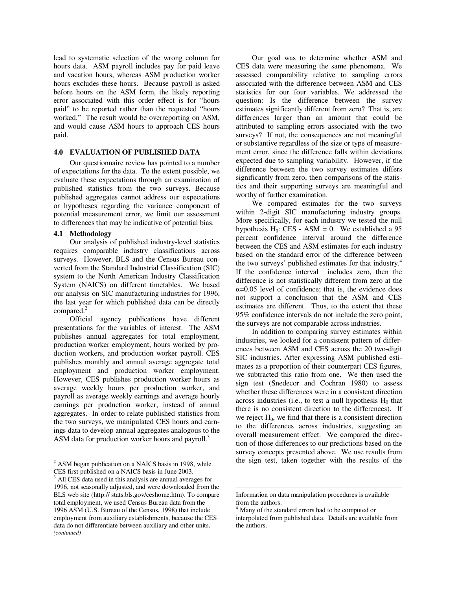lead to systematic selection of the wrong column for hours data. ASM payroll includes pay for paid leave and vacation hours, whereas ASM production worker hours excludes these hours. Because payroll is asked before hours on the ASM form, the likely reporting error associated with this order effect is for "hours paid" to be reported rather than the requested "hours worked." The result would be overreporting on ASM, and would cause ASM hours to approach CES hours paid.

## **4.0 EVALUATION OF PUBLISHED DATA**

 Our questionnaire review has pointed to a number of expectations for the data. To the extent possible, we evaluate these expectations through an examination of published statistics from the two surveys. Because published aggregates cannot address our expectations or hypotheses regarding the variance component of potential measurement error, we limit our assessment to differences that may be indicative of potential bias.

## **4.1 Methodology**

 $\overline{a}$ 

 Our analysis of published industry-level statistics requires comparable industry classifications across surveys. However, BLS and the Census Bureau converted from the Standard Industrial Classification (SIC) system to the North American Industry Classification System (NAICS) on different timetables. We based our analysis on SIC manufacturing industries for 1996, the last year for which published data can be directly compared.<sup>2</sup>

 Official agency publications have different presentations for the variables of interest. The ASM publishes annual aggregates for total employment, production worker employment, hours worked by production workers, and production worker payroll. CES publishes monthly and annual average aggregate total employment and production worker employment. However, CES publishes production worker hours as average weekly hours per production worker, and payroll as average weekly earnings and average hourly earnings per production worker, instead of annual aggregates. In order to relate published statistics from the two surveys, we manipulated CES hours and earnings data to develop annual aggregates analogous to the ASM data for production worker hours and payroll.<sup>3</sup>

 Our goal was to determine whether ASM and CES data were measuring the same phenomena. We assessed comparability relative to sampling errors associated with the difference between ASM and CES statistics for our four variables. We addressed the question: Is the difference between the survey estimates significantly different from zero? That is, are differences larger than an amount that could be attributed to sampling errors associated with the two surveys? If not, the consequences are not meaningful or substantive regardless of the size or type of measurement error, since the difference falls within deviations expected due to sampling variability. However, if the difference between the two survey estimates differs significantly from zero, then comparisons of the statistics and their supporting surveys are meaningful and worthy of further examination.

 We compared estimates for the two surveys within 2-digit SIC manufacturing industry groups. More specifically, for each industry we tested the null hypothesis  $H_0$ : CES - ASM = 0. We established a 95 percent confidence interval around the difference between the CES and ASM estimates for each industry based on the standard error of the difference between the two surveys' published estimates for that industry.<sup>4</sup> If the confidence interval includes zero, then the difference is not statistically different from zero at the  $\alpha$ =0.05 level of confidence; that is, the evidence does not support a conclusion that the ASM and CES estimates are different. Thus, to the extent that these 95% confidence intervals do not include the zero point, the surveys are not comparable across industries.

 In addition to comparing survey estimates within industries, we looked for a consistent pattern of differences between ASM and CES across the 20 two-digit SIC industries. After expressing ASM published estimates as a proportion of their counterpart CES figures, we subtracted this ratio from one. We then used the sign test (Snedecor and Cochran 1980) to assess whether these differences were in a consistent direction across industries (i.e., to test a null hypothesis  $H_0$  that there is no consistent direction to the differences). If we reject  $H_0$ , we find that there is a consistent direction to the differences across industries, suggesting an overall measurement effect. We compared the direction of those differences to our predictions based on the survey concepts presented above. We use results from the sign test, taken together with the results of the

 $\overline{a}$ 

<sup>&</sup>lt;sup>2</sup> ASM began publication on a NAICS basis in 1998, while CES first published on a NAICS basis in June 2003.

<sup>&</sup>lt;sup>3</sup> All CES data used in this analysis are annual averages for 1996, not seasonally adjusted, and were downloaded from the BLS web site (http:// stats.bls.gov/ceshome.htm). To compare total employment, we used Census Bureau data from the 1996 ASM (U.S. Bureau of the Census, 1998) that include employment from auxiliary establishments, because the CES data do not differentiate between auxiliary and other units. *(continued)* 

Information on data manipulation procedures is available from the authors.

<sup>4</sup> Many of the standard errors had to be computed or interpolated from published data. Details are available from the authors.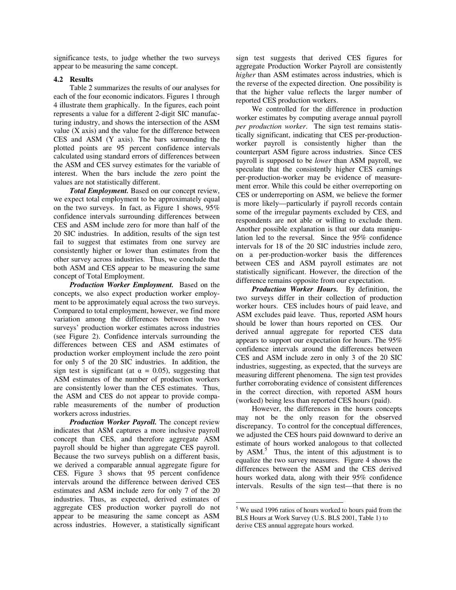significance tests, to judge whether the two surveys appear to be measuring the same concept.

## **4.2 Results**

 Table 2 summarizes the results of our analyses for each of the four economic indicators. Figures 1 through 4 illustrate them graphically. In the figures, each point represents a value for a different 2-digit SIC manufacturing industry, and shows the intersection of the ASM value (X axis) and the value for the difference between CES and ASM (Y axis). The bars surrounding the plotted points are 95 percent confidence intervals calculated using standard errors of differences between the ASM and CES survey estimates for the variable of interest. When the bars include the zero point the values are not statistically different.

*Total Employment.* Based on our concept review, we expect total employment to be approximately equal on the two surveys. In fact, as Figure 1 shows, 95% confidence intervals surrounding differences between CES and ASM include zero for more than half of the 20 SIC industries. In addition, results of the sign test fail to suggest that estimates from one survey are consistently higher or lower than estimates from the other survey across industries. Thus, we conclude that both ASM and CES appear to be measuring the same concept of Total Employment.

*Production Worker Employment.* Based on the concepts, we also expect production worker employment to be approximately equal across the two surveys. Compared to total employment, however, we find more variation among the differences between the two surveys' production worker estimates across industries (see Figure 2). Confidence intervals surrounding the differences between CES and ASM estimates of production worker employment include the zero point for only 5 of the 20 SIC industries. In addition, the sign test is significant (at  $\alpha = 0.05$ ), suggesting that ASM estimates of the number of production workers are consistently lower than the CES estimates. Thus, the ASM and CES do not appear to provide comparable measurements of the number of production workers across industries.

*Production Worker Payroll.* The concept review indicates that ASM captures a more inclusive payroll concept than CES, and therefore aggregate ASM payroll should be higher than aggregate CES payroll. Because the two surveys publish on a different basis, we derived a comparable annual aggregate figure for CES. Figure 3 shows that 95 percent confidence intervals around the difference between derived CES estimates and ASM include zero for only 7 of the 20 industries. Thus, as expected, derived estimates of aggregate CES production worker payroll do not appear to be measuring the same concept as ASM across industries. However, a statistically significant

sign test suggests that derived CES figures for aggregate Production Worker Payroll are consistently *higher* than ASM estimates across industries, which is the reverse of the expected direction. One possibility is that the higher value reflects the larger number of reported CES production workers.

 We controlled for the difference in production worker estimates by computing average annual payroll *per production worker*. The sign test remains statistically significant, indicating that CES per-productionworker payroll is consistently higher than the counterpart ASM figure across industries. Since CES payroll is supposed to be *lower* than ASM payroll, we speculate that the consistently higher CES earnings per-production-worker may be evidence of measurement error. While this could be either overreporting on CES or underreporting on ASM, we believe the former is more likely—particularly if payroll records contain some of the irregular payments excluded by CES, and respondents are not able or willing to exclude them. Another possible explanation is that our data manipulation led to the reversal. Since the 95% confidence intervals for 18 of the 20 SIC industries include zero, on a per-production-worker basis the differences between CES and ASM payroll estimates are not statistically significant. However, the direction of the difference remains opposite from our expectation.

*Production Worker Hours.* By definition, the two surveys differ in their collection of production worker hours. CES includes hours of paid leave, and ASM excludes paid leave. Thus, reported ASM hours should be lower than hours reported on CES. Our derived annual aggregate for reported CES data appears to support our expectation for hours. The 95% confidence intervals around the differences between CES and ASM include zero in only 3 of the 20 SIC industries, suggesting, as expected, that the surveys are measuring different phenomena. The sign test provides further corroborating evidence of consistent differences in the correct direction, with reported ASM hours (worked) being less than reported CES hours (paid).

 However, the differences in the hours concepts may not be the only reason for the observed discrepancy. To control for the conceptual differences, we adjusted the CES hours paid downward to derive an estimate of hours worked analogous to that collected by ASM.<sup>5</sup> Thus, the intent of this adjustment is to equalize the two survey measures. Figure 4 shows the differences between the ASM and the CES derived hours worked data, along with their 95% confidence intervals. Results of the sign test—that there is no

 $\overline{a}$ 

<sup>&</sup>lt;sup>5</sup> We used 1996 ratios of hours worked to hours paid from the BLS Hours at Work Survey (U.S. BLS 2001, Table 1) to derive CES annual aggregate hours worked.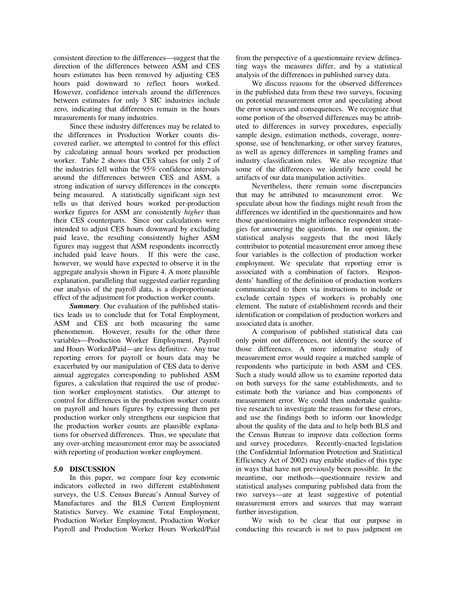consistent direction to the differences—suggest that the direction of the differences between ASM and CES hours estimates has been removed by adjusting CES hours paid downward to reflect hours worked. However, confidence intervals around the differences between estimates for only 3 SIC industries include zero, indicating that differences remain in the hours measurements for many industries.

 Since these industry differences may be related to the differences in Production Worker counts discovered earlier, we attempted to control for this effect by calculating annual hours worked per production worker. Table 2 shows that CES values for only 2 of the industries fell within the 95% confidence intervals around the differences between CES and ASM, a strong indication of survey differences in the concepts being measured. A statistically significant sign test tells us that derived hours worked per-production worker figures for ASM are consistently *higher* than their CES counterparts. Since our calculations were intended to adjust CES hours downward by excluding paid leave, the resulting consistently higher ASM figures may suggest that ASM respondents incorrectly included paid leave hours. If this were the case, however, we would have expected to observe it in the aggregate analysis shown in Figure 4. A more plausible explanation, paralleling that suggested earlier regarding our analysis of the payroll data, is a disproportionate effect of the adjustment for production worker counts.

*Summary.* Our evaluation of the published statistics leads us to conclude that for Total Employment, ASM and CES are both measuring the same phenomenon. However, results for the other three variables—Production Worker Employment, Payroll and Hours Worked/Paid—are less definitive. Any true reporting errors for payroll or hours data may be exacerbated by our manipulation of CES data to derive annual aggregates corresponding to published ASM figures, a calculation that required the use of production worker employment statistics. Our attempt to control for differences in the production worker counts on payroll and hours figures by expressing them per production worker only strengthens our suspicion that the production worker counts are plausible explanations for observed differences. Thus, we speculate that any over-arching measurement error may be associated with reporting of production worker employment.

# **5.0 DISCUSSION**

 In this paper, we compare four key economic indicators collected in two different establishment surveys, the U.S. Census Bureau's Annual Survey of Manufactures and the BLS Current Employment Statistics Survey. We examine Total Employment, Production Worker Employment, Production Worker Payroll and Production Worker Hours Worked/Paid from the perspective of a questionnaire review delineating ways the measures differ, and by a statistical analysis of the differences in published survey data.

 We discuss reasons for the observed differences in the published data from these two surveys, focusing on potential measurement error and speculating about the error sources and consequences. We recognize that some portion of the observed differences may be attributed to differences in survey procedures, especially sample design, estimation methods, coverage, nonresponse, use of benchmarking, or other survey features, as well as agency differences in sampling frames and industry classification rules. We also recognize that some of the differences we identify here could be artifacts of our data manipulation activities.

Nevertheless, there remain some discrepancies that may be attributed to measurement error. We speculate about how the findings might result from the differences we identified in the questionnaires and how those questionnaires might influence respondent strategies for answering the questions. In our opinion, the statistical analysis suggests that the most likely contributor to potential measurement error among these four variables is the collection of production worker employment. We speculate that reporting error is associated with a combination of factors. Respondents' handling of the definition of production workers communicated to them via instructions to include or exclude certain types of workers is probably one element. The nature of establishment records and their identification or compilation of production workers and associated data is another.

 A comparison of published statistical data can only point out differences, not identify the source of those differences. A more informative study of measurement error would require a matched sample of respondents who participate in both ASM and CES. Such a study would allow us to examine reported data on both surveys for the same establishments, and to estimate both the variance and bias components of measurement error. We could then undertake qualitative research to investigate the reasons for these errors, and use the findings both to inform our knowledge about the quality of the data and to help both BLS and the Census Bureau to improve data collection forms and survey procedures. Recently-enacted legislation (the Confidential Information Protection and Statistical Efficiency Act of 2002) may enable studies of this type in ways that have not previously been possible. In the meantime, our methods—questionnaire review and statistical analyses comparing published data from the two surveys—are at least suggestive of potential measurement errors and sources that may warrant further investigation.

 We wish to be clear that our purpose in conducting this research is not to pass judgment on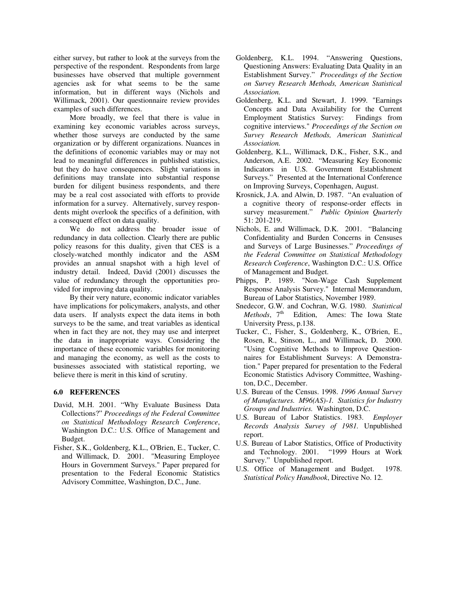either survey, but rather to look at the surveys from the perspective of the respondent. Respondents from large businesses have observed that multiple government agencies ask for what seems to be the same information, but in different ways (Nichols and Willimack, 2001). Our questionnaire review provides examples of such differences.

 More broadly, we feel that there is value in examining key economic variables across surveys, whether those surveys are conducted by the same organization or by different organizations. Nuances in the definitions of economic variables may or may not lead to meaningful differences in published statistics, but they do have consequences. Slight variations in definitions may translate into substantial response burden for diligent business respondents, and there may be a real cost associated with efforts to provide information for a survey. Alternatively, survey respondents might overlook the specifics of a definition, with a consequent effect on data quality.

 We do not address the broader issue of redundancy in data collection. Clearly there are public policy reasons for this duality, given that CES is a closely-watched monthly indicator and the ASM provides an annual snapshot with a high level of industry detail. Indeed, David (2001) discusses the value of redundancy through the opportunities provided for improving data quality.

 By their very nature, economic indicator variables have implications for policymakers, analysts, and other data users. If analysts expect the data items in both surveys to be the same, and treat variables as identical when in fact they are not, they may use and interpret the data in inappropriate ways. Considering the importance of these economic variables for monitoring and managing the economy, as well as the costs to businesses associated with statistical reporting, we believe there is merit in this kind of scrutiny.

# **6.0 REFERENCES**

- David, M.H. 2001. "Why Evaluate Business Data Collections?" *Proceedings of the Federal Committee on Statistical Methodology Research Conference*, Washington D.C.: U.S. Office of Management and Budget.
- Fisher, S.K., Goldenberg, K.L., O'Brien, E., Tucker, C. and Willimack, D. 2001. "Measuring Employee Hours in Government Surveys." Paper prepared for presentation to the Federal Economic Statistics Advisory Committee, Washington, D.C., June.
- Goldenberg, K.L. 1994. "Answering Questions, Questioning Answers: Evaluating Data Quality in an Establishment Survey." *Proceedings of the Section on Survey Research Methods, American Statistical Association.*
- Goldenberg, K.L. and Stewart, J. 1999. "Earnings Concepts and Data Availability for the Current Employment Statistics Survey: Findings from cognitive interviews." *Proceedings of the Section on Survey Research Methods, American Statistical Association.*
- Goldenberg, K.L., Willimack, D.K., Fisher, S.K., and Anderson, A.E. 2002. "Measuring Key Economic Indicators in U.S. Government Establishment Surveys." Presented at the International Conference on Improving Surveys, Copenhagen, August.
- Krosnick, J.A. and Alwin, D. 1987. "An evaluation of a cognitive theory of response-order effects in survey measurement." *Public Opinion Quarterly* 51: 201-219.
- Nichols, E. and Willimack, D.K. 2001. "Balancing Confidentiality and Burden Concerns in Censuses and Surveys of Large Businesses." *Proceedings of the Federal Committee on Statistical Methodology Research Conference*, Washington D.C.: U.S. Office of Management and Budget.
- Phipps, P. 1989. "Non-Wage Cash Supplement Response Analysis Survey." Internal Memorandum, Bureau of Labor Statistics, November 1989.
- Snedecor, G.W. and Cochran, W.G. 1980. *Statistical Methods*, 7<sup>th</sup> Edition, Ames: The Iowa State University Press, p.138.
- Tucker, C., Fisher, S., Goldenberg, K., O'Brien, E., Rosen, R., Stinson, L., and Willimack, D. 2000. "Using Cognitive Methods to Improve Questionnaires for Establishment Surveys: A Demonstration." Paper prepared for presentation to the Federal Economic Statistics Advisory Committee, Washington, D.C., December.
- U.S. Bureau of the Census. 1998. *1996 Annual Survey of Manufactures. M96(AS)-1. Statistics for Industry Groups and Industries.* Washington, D.C.
- U.S. Bureau of Labor Statistics. 1983. *Employer Records Analysis Survey of 1981.* Unpublished report.
- U.S. Bureau of Labor Statistics, Office of Productivity and Technology. 2001. "1999 Hours at Work Survey." Unpublished report.
- U.S. Office of Management and Budget. 1978. *Statistical Policy Handbook*, Directive No. 12.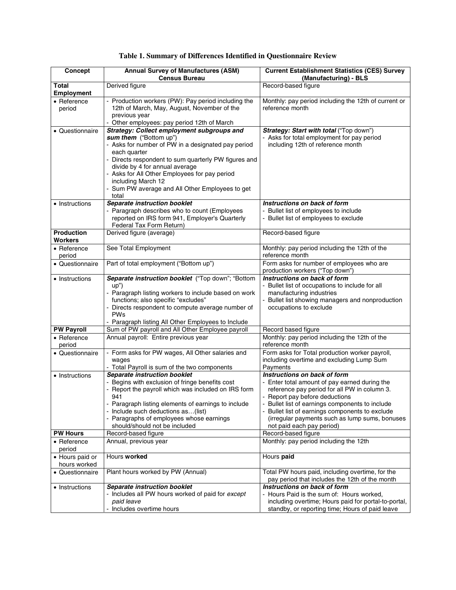| Concept                                  | <b>Annual Survey of Manufactures (ASM)</b><br><b>Census Bureau</b>                                                                                                                                                                                                                                                                                                         | <b>Current Establishment Statistics (CES) Survey</b><br>(Manufacturing) - BLS                                                                                                                                                                                                                                                                    |
|------------------------------------------|----------------------------------------------------------------------------------------------------------------------------------------------------------------------------------------------------------------------------------------------------------------------------------------------------------------------------------------------------------------------------|--------------------------------------------------------------------------------------------------------------------------------------------------------------------------------------------------------------------------------------------------------------------------------------------------------------------------------------------------|
| <b>Total</b><br><b>Employment</b>        | Derived figure                                                                                                                                                                                                                                                                                                                                                             | Record-based figure                                                                                                                                                                                                                                                                                                                              |
| • Reference<br>period                    | - Production workers (PW): Pay period including the<br>12th of March, May, August, November of the<br>previous year<br>- Other employees: pay period 12th of March                                                                                                                                                                                                         | Monthly: pay period including the 12th of current or<br>reference month                                                                                                                                                                                                                                                                          |
| • Questionnaire                          | <b>Strategy: Collect employment subgroups and</b><br>sum them ("Bottom up")<br>- Asks for number of PW in a designated pay period<br>each quarter<br>Directs respondent to sum quarterly PW figures and<br>divide by 4 for annual average<br>Asks for All Other Employees for pay period<br>including March 12<br>- Sum PW average and All Other Employees to get<br>total | Strategy: Start with total ("Top down")<br>Asks for total employment for pay period<br>including 12th of reference month                                                                                                                                                                                                                         |
| • Instructions                           | Separate instruction booklet<br>- Paragraph describes who to count (Employees<br>reported on IRS form 941, Employer's Quarterly<br>Federal Tax Form Return)                                                                                                                                                                                                                | Instructions on back of form<br>- Bullet list of employees to include<br>- Bullet list of employees to exclude                                                                                                                                                                                                                                   |
| <b>Production</b><br><b>Workers</b>      | Derived figure (average)                                                                                                                                                                                                                                                                                                                                                   | Record-based figure                                                                                                                                                                                                                                                                                                                              |
| $\bullet$ Reference<br>period            | See Total Employment                                                                                                                                                                                                                                                                                                                                                       | Monthly: pay period including the 12th of the<br>reference month                                                                                                                                                                                                                                                                                 |
| • Questionnaire                          | Part of total employment ("Bottom up")                                                                                                                                                                                                                                                                                                                                     | Form asks for number of employees who are<br>production workers ("Top down")                                                                                                                                                                                                                                                                     |
| • Instructions                           | Separate instruction booklet ("Top down"; "Bottom<br>up")<br>- Paragraph listing workers to include based on work<br>functions; also specific "excludes"<br>- Directs respondent to compute average number of<br>PWs<br>- Paragraph listing All Other Employees to Include                                                                                                 | Instructions on back of form<br>Bullet list of occupations to include for all<br>manufacturing industries<br>- Bullet list showing managers and nonproduction<br>occupations to exclude                                                                                                                                                          |
| <b>PW Payroll</b>                        | Sum of PW payroll and All Other Employee payroll                                                                                                                                                                                                                                                                                                                           | Record based figure                                                                                                                                                                                                                                                                                                                              |
| • Reference<br>period                    | Annual payroll: Entire previous year                                                                                                                                                                                                                                                                                                                                       | Monthly: pay period including the 12th of the<br>reference month                                                                                                                                                                                                                                                                                 |
| • Questionnaire                          | - Form asks for PW wages, All Other salaries and<br>wages<br>- Total Payroll is sum of the two components                                                                                                                                                                                                                                                                  | Form asks for Total production worker payroll,<br>including overtime and excluding Lump Sum<br>Payments                                                                                                                                                                                                                                          |
| • Instructions                           | <b>Separate instruction booklet</b><br>- Begins with exclusion of fringe benefits cost<br>- Report the payroll which was included on IRS form<br>941<br>- Paragraph listing elements of earnings to include<br>- Include such deductions as(list)<br>- Paragraphs of employees whose earnings<br>should/should not be included                                             | Instructions on back of form<br>- Enter total amount of pay earned during the<br>reference pay period for all PW in column 3.<br>Report pay before deductions<br>- Bullet list of earnings components to include<br>Bullet list of earnings components to exclude<br>(irregular payments such as lump sums, bonuses<br>not paid each pay period) |
| <b>PW Hours</b><br>• Reference<br>period | Record-based figure<br>Annual, previous year                                                                                                                                                                                                                                                                                                                               | Record-based figure<br>Monthly: pay period including the 12th                                                                                                                                                                                                                                                                                    |
| • Hours paid or<br>hours worked          | Hours worked                                                                                                                                                                                                                                                                                                                                                               | Hours paid                                                                                                                                                                                                                                                                                                                                       |
| • Questionnaire                          | Plant hours worked by PW (Annual)                                                                                                                                                                                                                                                                                                                                          | Total PW hours paid, including overtime, for the<br>pay period that includes the 12th of the month                                                                                                                                                                                                                                               |
| • Instructions                           | <b>Separate instruction booklet</b><br>- Includes all PW hours worked of paid for except<br>paid leave<br>Includes overtime hours                                                                                                                                                                                                                                          | Instructions on back of form<br>- Hours Paid is the sum of: Hours worked,<br>including overtime; Hours paid for portal-to-portal,<br>standby, or reporting time; Hours of paid leave                                                                                                                                                             |

# **Table 1. Summary of Differences Identified in Questionnaire Review**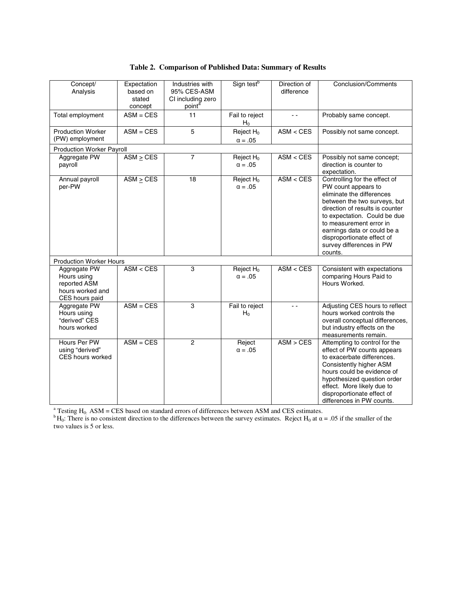|  |  |  | Table 2. Comparison of Published Data: Summary of Results |
|--|--|--|-----------------------------------------------------------|
|--|--|--|-----------------------------------------------------------|

| Concept/<br>Analysis                                                              | Expectation<br>based on<br>stated<br>concept | Industries with<br>95% CES-ASM<br>CI including zero<br>point <sup>a</sup> | Sign test <sup>b</sup>         | Direction of<br>difference | <b>Conclusion/Comments</b>                                                                                                                                                                                                                                                                                          |
|-----------------------------------------------------------------------------------|----------------------------------------------|---------------------------------------------------------------------------|--------------------------------|----------------------------|---------------------------------------------------------------------------------------------------------------------------------------------------------------------------------------------------------------------------------------------------------------------------------------------------------------------|
| Total employment                                                                  | $ASM = CES$                                  | 11                                                                        | Fail to reject<br>$H_0$        | $\sim$ $\sim$              | Probably same concept.                                                                                                                                                                                                                                                                                              |
| <b>Production Worker</b><br>(PW) employment                                       | $ASM = CES$                                  | 5                                                                         | Reject $H_0$<br>$\alpha = .05$ | ASM < CES                  | Possibly not same concept.                                                                                                                                                                                                                                                                                          |
| <b>Production Worker Payroll</b>                                                  |                                              |                                                                           |                                |                            |                                                                                                                                                                                                                                                                                                                     |
| Aggregate PW<br>payroll                                                           | $ASM \geq CES$                               | $\overline{7}$                                                            | Reject $H_0$<br>$\alpha = .05$ | ASM < CES                  | Possibly not same concept;<br>direction is counter to<br>expectation.                                                                                                                                                                                                                                               |
| Annual payroll<br>per-PW                                                          | $ASM \geq CES$                               | 18                                                                        | Reject $H_0$<br>$\alpha = .05$ | ASM < CES                  | Controlling for the effect of<br>PW count appears to<br>eliminate the differences<br>between the two surveys, but<br>direction of results is counter<br>to expectation. Could be due<br>to measurement error in<br>earnings data or could be a<br>disproportionate effect of<br>survey differences in PW<br>counts. |
| <b>Production Worker Hours</b>                                                    |                                              |                                                                           |                                |                            |                                                                                                                                                                                                                                                                                                                     |
| Aggregate PW<br>Hours using<br>reported ASM<br>hours worked and<br>CES hours paid | ASM < CES                                    | 3                                                                         | Reject $H_0$<br>$\alpha = .05$ | ASM < CES                  | Consistent with expectations<br>comparing Hours Paid to<br>Hours Worked.                                                                                                                                                                                                                                            |
| Aggregate PW<br>Hours using<br>"derived" CES<br>hours worked                      | $ASM = CES$                                  | 3                                                                         | Fail to reject<br>$H_0$        | $\overline{a}$             | Adjusting CES hours to reflect<br>hours worked controls the<br>overall conceptual differences,<br>but industry effects on the<br>measurements remain.                                                                                                                                                               |
| Hours Per PW<br>using "derived"<br>CES hours worked                               | $ASM = CES$                                  | $\overline{2}$                                                            | Reject<br>$\alpha = .05$       | ASM > CES                  | Attempting to control for the<br>effect of PW counts appears<br>to exacerbate differences.<br>Consistently higher ASM<br>hours could be evidence of<br>hypothesized question order<br>effect. More likely due to<br>disproportionate effect of<br>differences in PW counts.                                         |

<sup>a</sup> Testing H<sub>0</sub>: ASM = CES based on standard errors of differences between ASM and CES estimates.<br><sup>b</sup>H<sub>0</sub>: There is no consistent direction to the differences between the survey estimates. Reject H<sub>0</sub> at  $\alpha$  = .05 if th two values is 5 or less.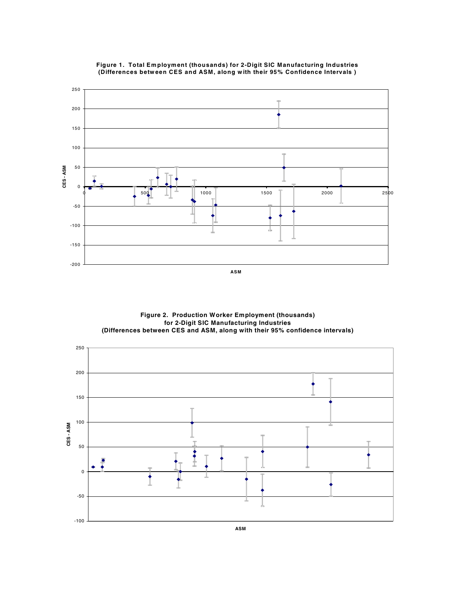



**Figure 2. Production Worker Employment (thousands) for 2-Digit SIC Manufacturing Industries (Differences between CES and ASM, along with their 95% confidence intervals)**